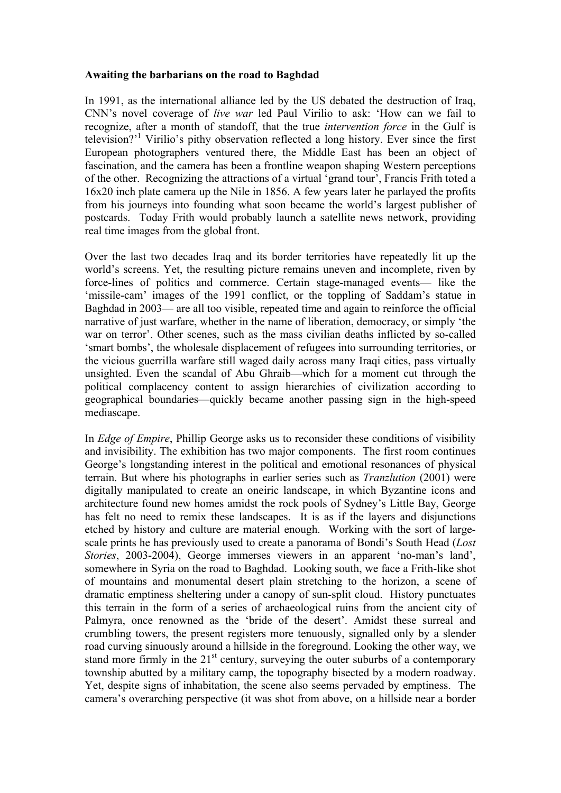## **Awaiting the barbarians on the road to Baghdad**

In 1991, as the international alliance led by the US debated the destruction of Iraq, CNN's novel coverage of *live war* led Paul Virilio to ask: 'How can we fail to recognize, after a month of standoff, that the true *intervention force* in the Gulf is television?<sup>1</sup> Virilio's pithy observation reflected a long history. Ever since the first European photographers ventured there, the Middle East has been an object of fascination, and the camera has been a frontline weapon shaping Western perceptions of the other. Recognizing the attractions of a virtual 'grand tour', Francis Frith toted a 16x20 inch plate camera up the Nile in 1856. A few years later he parlayed the profits from his journeys into founding what soon became the world's largest publisher of postcards. Today Frith would probably launch a satellite news network, providing real time images from the global front.

Over the last two decades Iraq and its border territories have repeatedly lit up the world's screens. Yet, the resulting picture remains uneven and incomplete, riven by force-lines of politics and commerce. Certain stage-managed events— like the 'missile-cam' images of the 1991 conflict, or the toppling of Saddam's statue in Baghdad in 2003— are all too visible, repeated time and again to reinforce the official narrative of just warfare, whether in the name of liberation, democracy, or simply 'the war on terror'. Other scenes, such as the mass civilian deaths inflicted by so-called 'smart bombs', the wholesale displacement of refugees into surrounding territories, or the vicious guerrilla warfare still waged daily across many Iraqi cities, pass virtually unsighted. Even the scandal of Abu Ghraib—which for a moment cut through the political complacency content to assign hierarchies of civilization according to geographical boundaries—quickly became another passing sign in the high-speed mediascape.

In *Edge of Empire*, Phillip George asks us to reconsider these conditions of visibility and invisibility. The exhibition has two major components. The first room continues George's longstanding interest in the political and emotional resonances of physical terrain. But where his photographs in earlier series such as *Tranzlution* (2001) were digitally manipulated to create an oneiric landscape, in which Byzantine icons and architecture found new homes amidst the rock pools of Sydney's Little Bay, George has felt no need to remix these landscapes. It is as if the layers and disjunctions etched by history and culture are material enough. Working with the sort of largescale prints he has previously used to create a panorama of Bondi's South Head (*Lost Stories*, 2003-2004), George immerses viewers in an apparent 'no-man's land', somewhere in Syria on the road to Baghdad. Looking south, we face a Frith-like shot of mountains and monumental desert plain stretching to the horizon, a scene of dramatic emptiness sheltering under a canopy of sun-split cloud. History punctuates this terrain in the form of a series of archaeological ruins from the ancient city of Palmyra, once renowned as the 'bride of the desert'. Amidst these surreal and crumbling towers, the present registers more tenuously, signalled only by a slender road curving sinuously around a hillside in the foreground. Looking the other way, we stand more firmly in the  $21<sup>st</sup>$  century, surveying the outer suburbs of a contemporary township abutted by a military camp, the topography bisected by a modern roadway. Yet, despite signs of inhabitation, the scene also seems pervaded by emptiness. The camera's overarching perspective (it was shot from above, on a hillside near a border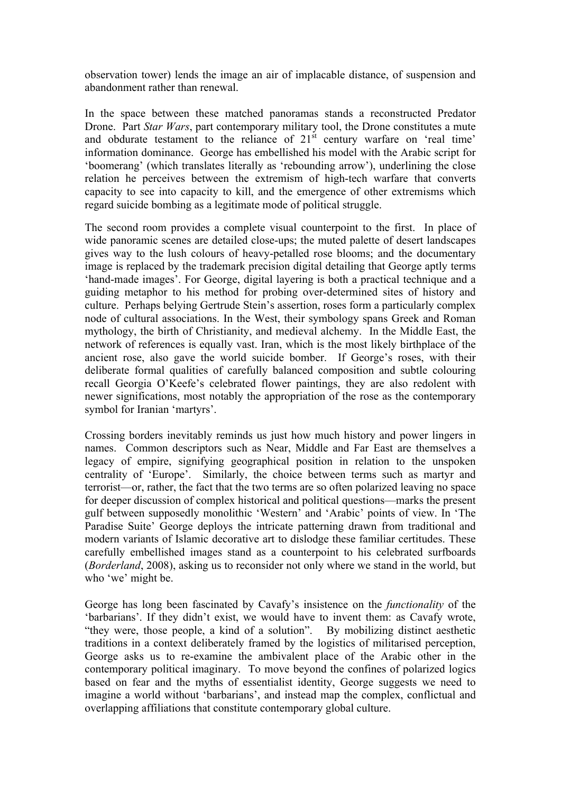observation tower) lends the image an air of implacable distance, of suspension and abandonment rather than renewal.

In the space between these matched panoramas stands a reconstructed Predator Drone. Part *Star Wars*, part contemporary military tool, the Drone constitutes a mute and obdurate testament to the reliance of  $21<sup>st</sup>$  century warfare on 'real time' information dominance. George has embellished his model with the Arabic script for 'boomerang' (which translates literally as 'rebounding arrow'), underlining the close relation he perceives between the extremism of high-tech warfare that converts capacity to see into capacity to kill, and the emergence of other extremisms which regard suicide bombing as a legitimate mode of political struggle.

The second room provides a complete visual counterpoint to the first. In place of wide panoramic scenes are detailed close-ups; the muted palette of desert landscapes gives way to the lush colours of heavy-petalled rose blooms; and the documentary image is replaced by the trademark precision digital detailing that George aptly terms 'hand-made images'. For George, digital layering is both a practical technique and a guiding metaphor to his method for probing over-determined sites of history and culture. Perhaps belying Gertrude Stein's assertion, roses form a particularly complex node of cultural associations. In the West, their symbology spans Greek and Roman mythology, the birth of Christianity, and medieval alchemy. In the Middle East, the network of references is equally vast. Iran, which is the most likely birthplace of the ancient rose, also gave the world suicide bomber. If George's roses, with their deliberate formal qualities of carefully balanced composition and subtle colouring recall Georgia O'Keefe's celebrated flower paintings, they are also redolent with newer significations, most notably the appropriation of the rose as the contemporary symbol for Iranian 'martyrs'.

Crossing borders inevitably reminds us just how much history and power lingers in names. Common descriptors such as Near, Middle and Far East are themselves a legacy of empire, signifying geographical position in relation to the unspoken centrality of 'Europe'. Similarly, the choice between terms such as martyr and terrorist—or, rather, the fact that the two terms are so often polarized leaving no space for deeper discussion of complex historical and political questions—marks the present gulf between supposedly monolithic 'Western' and 'Arabic' points of view. In 'The Paradise Suite' George deploys the intricate patterning drawn from traditional and modern variants of Islamic decorative art to dislodge these familiar certitudes. These carefully embellished images stand as a counterpoint to his celebrated surfboards (*Borderland*, 2008), asking us to reconsider not only where we stand in the world, but who 'we' might be.

George has long been fascinated by Cavafy's insistence on the *functionality* of the 'barbarians'. If they didn't exist, we would have to invent them: as Cavafy wrote, "they were, those people, a kind of a solution". By mobilizing distinct aesthetic traditions in a context deliberately framed by the logistics of militarised perception, George asks us to re-examine the ambivalent place of the Arabic other in the contemporary political imaginary. To move beyond the confines of polarized logics based on fear and the myths of essentialist identity, George suggests we need to imagine a world without 'barbarians', and instead map the complex, conflictual and overlapping affiliations that constitute contemporary global culture.